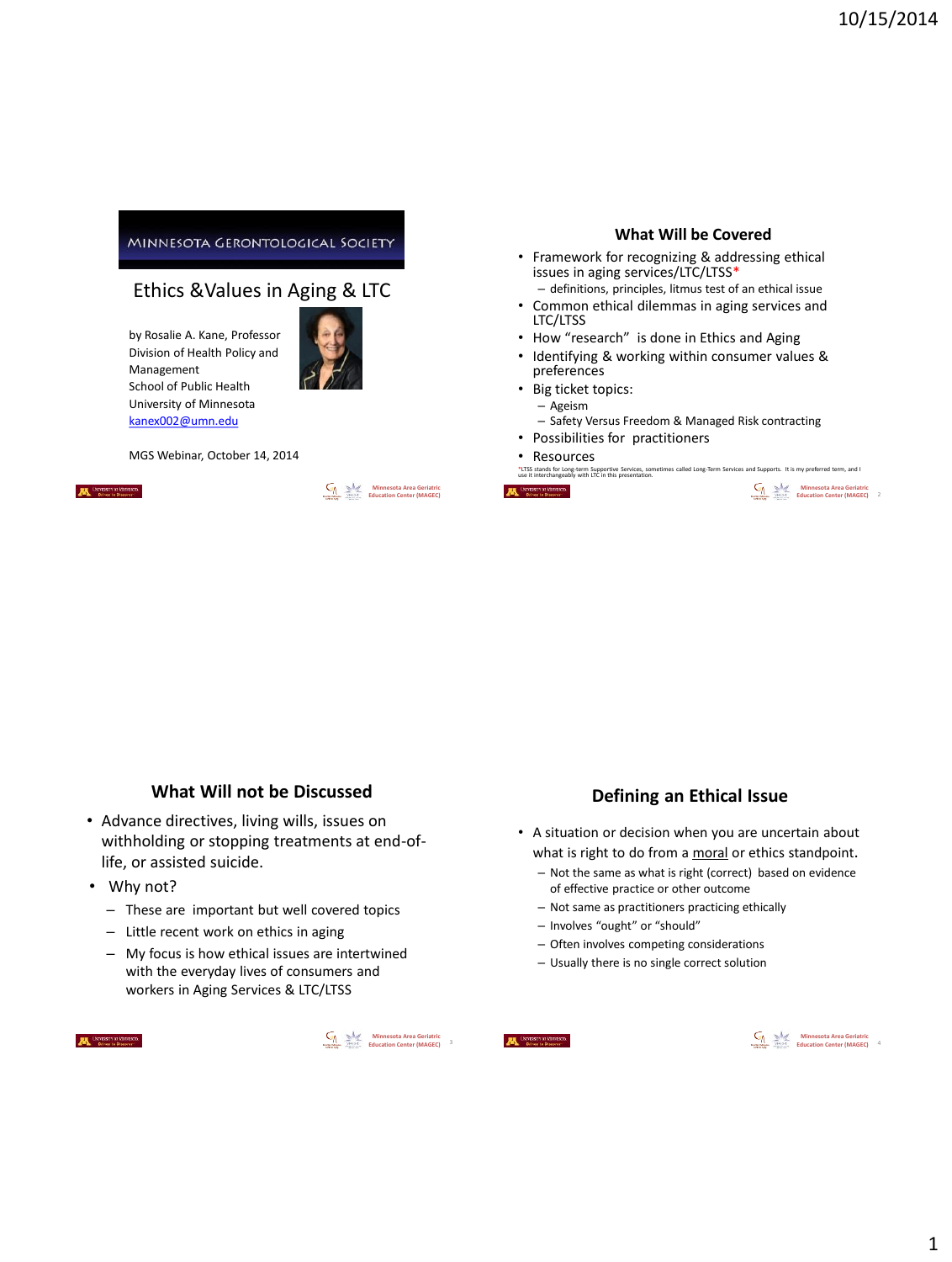### **MINNESOTA GERONTOLOGICAL SOCIETY**

# Ethics &Values in Aging & LTC

by Rosalie A. Kane, Professor Division of Health Policy and Management School of Public Health University of Minnesota [kanex002@umn.edu](mailto:kanex002@umn.edu)



MGS Webinar, October 14, 2014





### **What Will be Covered**

- Framework for recognizing & addressing ethical issues in aging services/LTC/LTSS\*
- definitions, principles, litmus test of an ethical issue • Common ethical dilemmas in aging services and LTC/LTSS
- How "research" is done in Ethics and Aging
- Identifying & working within consumer values & preferences
- Big ticket topics: – Ageism
- Safety Versus Freedom & Managed Risk contracting • Possibilities for practitioners
- Resources
- \*LTSS stands for Long-term Supportive Services, sometimes called Long-Term Services and Supports. It is my preferred term, and I use it interchangeably with LTC in this presentation.



**Minnesota Area Geriatric Education Center (MAGEC)** 2

### **What Will not be Discussed**

- Advance directives, living wills, issues on withholding or stopping treatments at end-oflife, or assisted suicide.
- Why not?
	- These are important but well covered topics
	- Little recent work on ethics in aging
	- My focus is how ethical issues are intertwined with the everyday lives of consumers and workers in Aging Services & LTC/LTSS



**Minnesota Area Geriatric Education Center (MAGEC)** 3

### **Defining an Ethical Issue**

- A situation or decision when you are uncertain about what is right to do from a moral or ethics standpoint.
	- Not the same as what is right (correct) based on evidence of effective practice or other outcome
	- Not same as practitioners practicing ethically
	- Involves "ought" or "should"
	- Often involves competing considerations
	- Usually there is no single correct solution



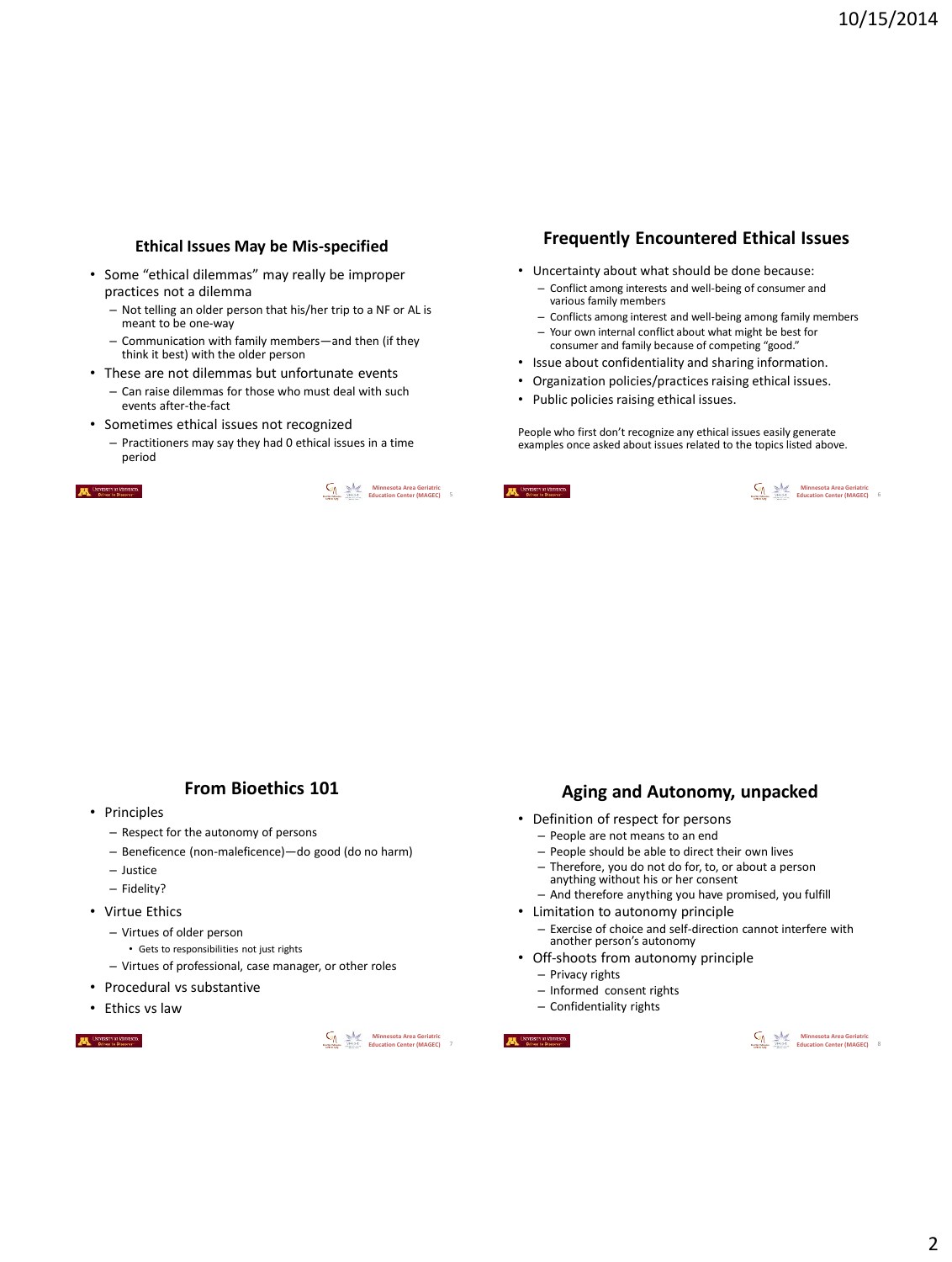### **Ethical Issues May be Mis-specified**

- Some "ethical dilemmas" may really be improper practices not a dilemma
	- Not telling an older person that his/her trip to a NF or AL is meant to be one-way
	- Communication with family members—and then (if they think it best) with the older person
- These are not dilemmas but unfortunate events – Can raise dilemmas for those who must deal with such events after-the-fact
- Sometimes ethical issues not recognized
	- Practitioners may say they had 0 ethical issues in a time period



**Minnesota Area Geriatric Education Center (MAGEC)** 5

# **Frequently Encountered Ethical Issues**

- Uncertainty about what should be done because: – Conflict among interests and well-being of consumer and
	- various family members – Conflicts among interest and well-being among family members
	- Your own internal conflict about what might be best for
	- consumer and family because of competing "good."
- Issue about confidentiality and sharing information.
- Organization policies/practices raising ethical issues.
- Public policies raising ethical issues.

People who first don't recognize any ethical issues easily generate examples once asked about issues related to the topics listed above.



**Minnesota Area Geriatric Education Center (MAGEC)** 6

## **From Bioethics 101**

- Principles
	- Respect for the autonomy of persons
	- Beneficence (non-maleficence)—do good (do no harm)
	- Justice
	- Fidelity?
- Virtue Ethics
	- Virtues of older person
		- Gets to responsibilities not just rights
	- Virtues of professional, case manager, or other roles
- Procedural vs substantive
- Ethics vs law



- **Aging and Autonomy, unpacked**
- Definition of respect for persons
	- People are not means to an end
	- People should be able to direct their own lives
	- Therefore, you do not do for, to, or about a person anything without his or her consent
- And therefore anything you have promised, you fulfill • Limitation to autonomy principle
	- Exercise of choice and self-direction cannot interfere with another person's autonomy
- Off-shoots from autonomy principle
	- Privacy rights
	- Informed consent rights
	- Confidentiality rights



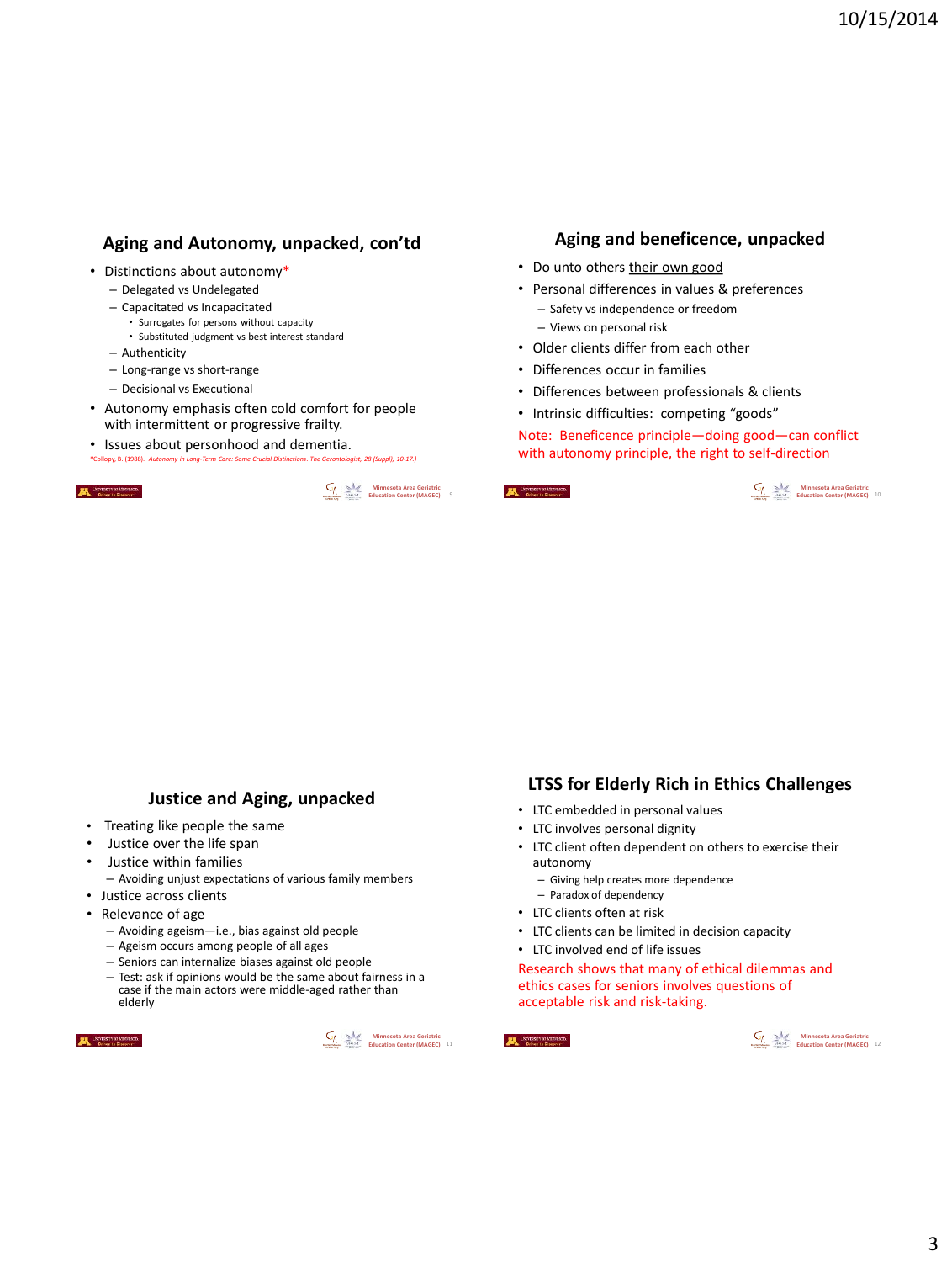# **Aging and Autonomy, unpacked, con'td**

- Distinctions about autonomy\*
	- Delegated vs Undelegated
	- Capacitated vs Incapacitated
		- Surrogates for persons without capacity
		- Substituted judgment vs best interest standard
	- Authenticity

**Constanty of Missource** 

- Long-range vs short-range
- Decisional vs Executional
- Autonomy emphasis often cold comfort for people with intermittent or progressive frailty.
- ISSUES about personhood and dementia.<br>• Collopy, B. (1988). Autonomy in Long-Term Care: Some Crucial Distinctions. The Gerontologist, 28 (Suppl), 10-17.)



**Minnesota Area Geriatric Education Center (MAGEC)** 9

### **Aging and beneficence, unpacked**

- Do unto others their own good
- Personal differences in values & preferences – Safety vs independence or freedom
	- Views on personal risk
- Older clients differ from each other
- Differences occur in families
- Differences between professionals & clients
- Intrinsic difficulties: competing "goods"

Note: Beneficence principle—doing good—can conflict with autonomy principle, the right to self-direction



**Minnesota Area Geriatric Education Center (MAGEC)** 10

## **Justice and Aging, unpacked**

- Treating like people the same
- Justice over the life span
- Justice within families
	- Avoiding unjust expectations of various family members
- Justice across clients
- Relevance of age
	- Avoiding ageism—i.e., bias against old people
	- Ageism occurs among people of all ages
	- Seniors can internalize biases against old people
	- Test: ask if opinions would be the same about fairness in a case if the main actors were middle-aged rather than elderly



**Minnesota Area Geriatric Education Center (MAGEC)** 11

# **LTSS for Elderly Rich in Ethics Challenges**

- LTC embedded in personal values
- LTC involves personal dignity
- LTC client often dependent on others to exercise their autonomy
	- Giving help creates more dependence
- Paradox of dependency
- LTC clients often at risk
- LTC clients can be limited in decision capacity
- LTC involved end of life issues

Research shows that many of ethical dilemmas and ethics cases for seniors involves questions of acceptable risk and risk-taking.

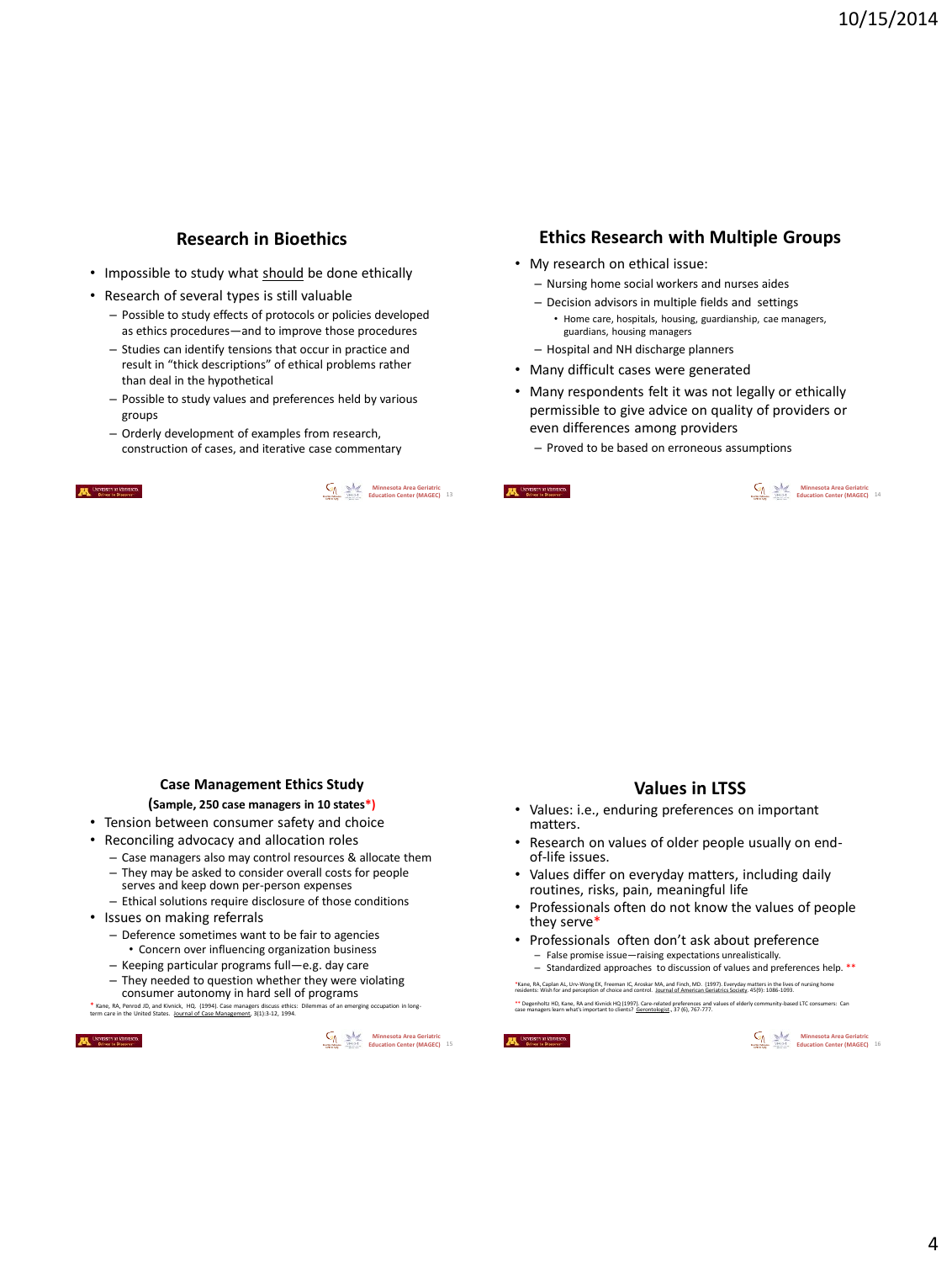# **Research in Bioethics**

- Impossible to study what should be done ethically
- Research of several types is still valuable
	- Possible to study effects of protocols or policies developed as ethics procedures—and to improve those procedures
	- Studies can identify tensions that occur in practice and result in "thick descriptions" of ethical problems rather than deal in the hypothetical
	- Possible to study values and preferences held by various groups
	- Orderly development of examples from research, construction of cases, and iterative case commentary



**Minnesota Area Geriatric Education Center (MAGEC)** 13

### **Ethics Research with Multiple Groups**

- My research on ethical issue:
	- Nursing home social workers and nurses aides
	- Decision advisors in multiple fields and settings
		- Home care, hospitals, housing, guardianship, cae managers, guardians, housing managers
	- Hospital and NH discharge planners
- Many difficult cases were generated
- Many respondents felt it was not legally or ethically permissible to give advice on quality of providers or even differences among providers
	- Proved to be based on erroneous assumptions



**Minnesota Area Geriatric Education Center (MAGEC)** 14

#### **Case Management Ethics Study (Sample, 250 case managers in 10 states\*)**

- Tension between consumer safety and choice
- Reconciling advocacy and allocation roles
	- Case managers also may control resources & allocate them
	- They may be asked to consider overall costs for people serves and keep down per-person expenses
	- Ethical solutions require disclosure of those conditions
- Issues on making referrals
	- Deference sometimes want to be fair to agencies
		- Concern over influencing organization business
	- Keeping particular programs full—e.g. day care
	- They needed to question whether they were violating CONSUMER autonomy in hard sell of programs<br>
	Pennod JD, and Kivnick, HQ. (1994). Case managers discuss ethics: Dilemmas of an emerging occupation in long-

\* Kane, RA, Penrod JD, and Kivnick, HQ. (1994). Case managers discuss ethics: Dilemmas of an emerging occupation in long-term care in the United States. Journal of Case Management, 3(1):3-12, 1994.



**Minnesota Area Geriatric Education Center (MAGEC)** 15

#### **Values in LTSS**

- Values: i.e., enduring preferences on important matters.
- Research on values of older people usually on endof-life issues.
- Values differ on everyday matters, including daily routines, risks, pain, meaningful life
- Professionals often do not know the values of people they serve\*
- Professionals often don't ask about preference – False promise issue—raising expectations unrealistically.
- Standardized approaches to discussion of values and preferences help. \*\* \*Kane, RA, Caplan AL, Urv-Wong EK, Freeman IC, Aroskar MA, and Finch, MD. (1997). Everyday matters in the lives of nursing home<br>residents: Wish for and perception of choice and control. <u>Journal of American Geriatrics Soci</u>

\*\* Degenholtz HD, Kane, RA and Kivnick HQ (1997). Care-related preferences and values of elderly community-based LTC consumers: Can case managers learn what's important to clients? Gerontologist., 37 (6), 767-777.

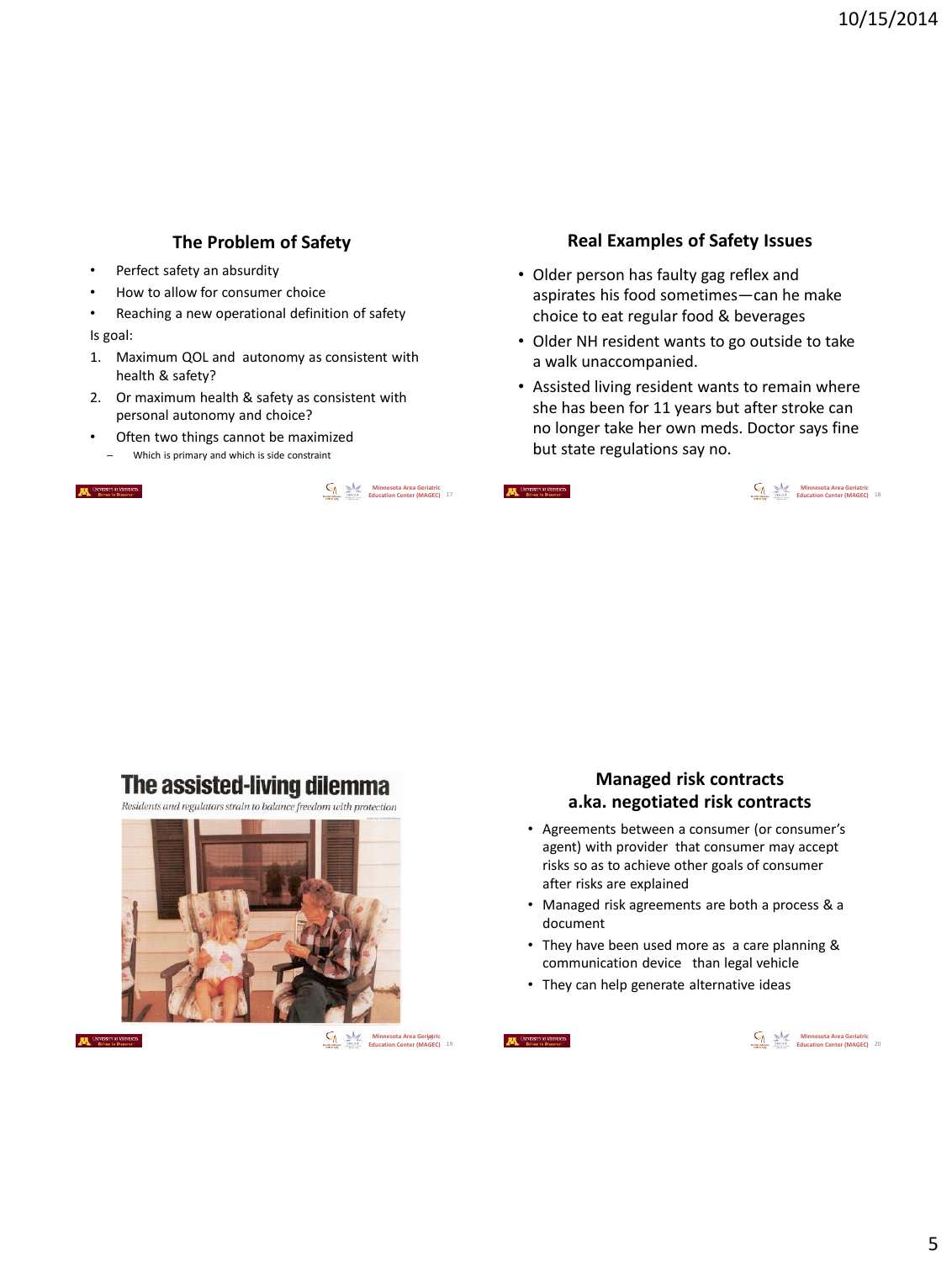# **The Problem of Safety**

- Perfect safety an absurdity
- How to allow for consumer choice
- Reaching a new operational definition of safety Is goal:
- 1. Maximum QOL and autonomy as consistent with health & safety?
- 2. Or maximum health & safety as consistent with personal autonomy and choice?
- Often two things cannot be maximized
	- Which is primary and which is side constraint



**Minnesota Area Geriatric Education Center (MAGEC)** 17

### **Real Examples of Safety Issues**

- Older person has faulty gag reflex and aspirates his food sometimes—can he make choice to eat regular food & beverages
- Older NH resident wants to go outside to take a walk unaccompanied.
- Assisted living resident wants to remain where she has been for 11 years but after stroke can no longer take her own meds. Doctor says fine but state regulations say no.



**Minnesota Area Geriatric Education Center (MAGEC)** 18

# The assisted-living dilemma

Residents and regulators strain to balance freedom with protection





**Minnesota Area Geriatric<br><b>Education Center (MAGEC)** 19

# **Managed risk contracts a.ka. negotiated risk contracts**

- Agreements between a consumer (or consumer's agent) with provider that consumer may accept risks so as to achieve other goals of consumer after risks are explained
- Managed risk agreements are both a process & a document
- They have been used more as a care planning & communication device than legal vehicle
- They can help generate alternative ideas

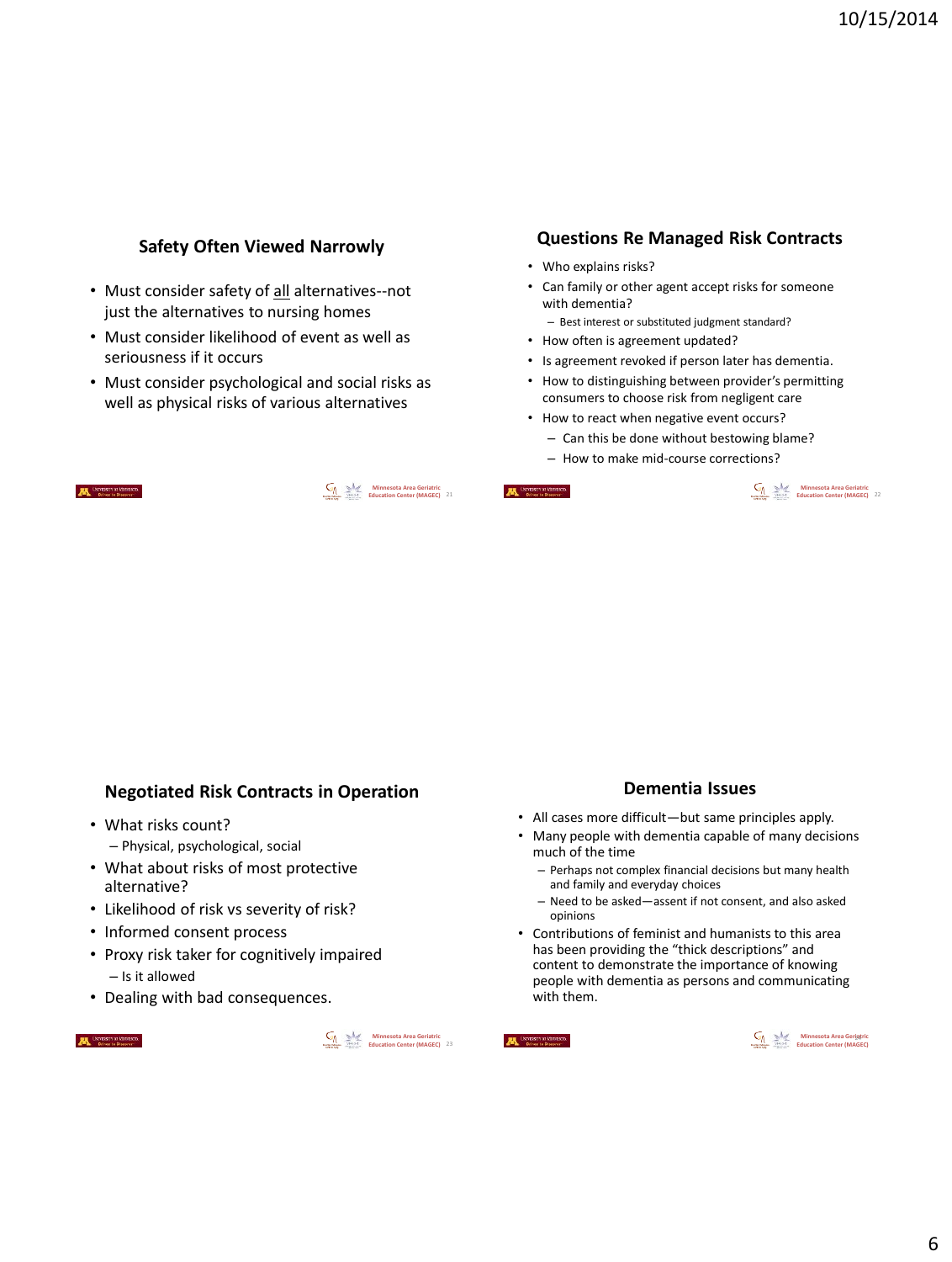# **Safety Often Viewed Narrowly**

- Must consider safety of all alternatives--not just the alternatives to nursing homes
- Must consider likelihood of event as well as seriousness if it occurs
- Must consider psychological and social risks as well as physical risks of various alternatives

# **Questions Re Managed Risk Contracts**

- Who explains risks?
- Can family or other agent accept risks for someone with dementia?
	- Best interest or substituted judgment standard?
- How often is agreement updated?
- Is agreement revoked if person later has dementia.
- How to distinguishing between provider's permitting consumers to choose risk from negligent care
- How to react when negative event occurs?
	- Can this be done without bestowing blame?
	- How to make mid-course corrections?



**Minnesota Area Geriatric Education Center (MAGEC)** 21

**Minnesota Area Geriatric Education Center (MAGEC)** 22

### **Negotiated Risk Contracts in Operation**

• What risks count?

**AND UNIVERSITY OF MINISTRATION** 

University of Mr.

- Physical, psychological, social
- What about risks of most protective alternative?
- Likelihood of risk vs severity of risk?
- Informed consent process
- Proxy risk taker for cognitively impaired – Is it allowed
- Dealing with bad consequences.



### **Dementia Issues**

- All cases more difficult—but same principles apply.
- Many people with dementia capable of many decisions much of the time
	- Perhaps not complex financial decisions but many health and family and everyday choices
	- Need to be asked—assent if not consent, and also asked opinions
- Contributions of feminist and humanists to this area has been providing the "thick descriptions" and content to demonstrate the importance of knowing people with dementia as persons and communicating with them.

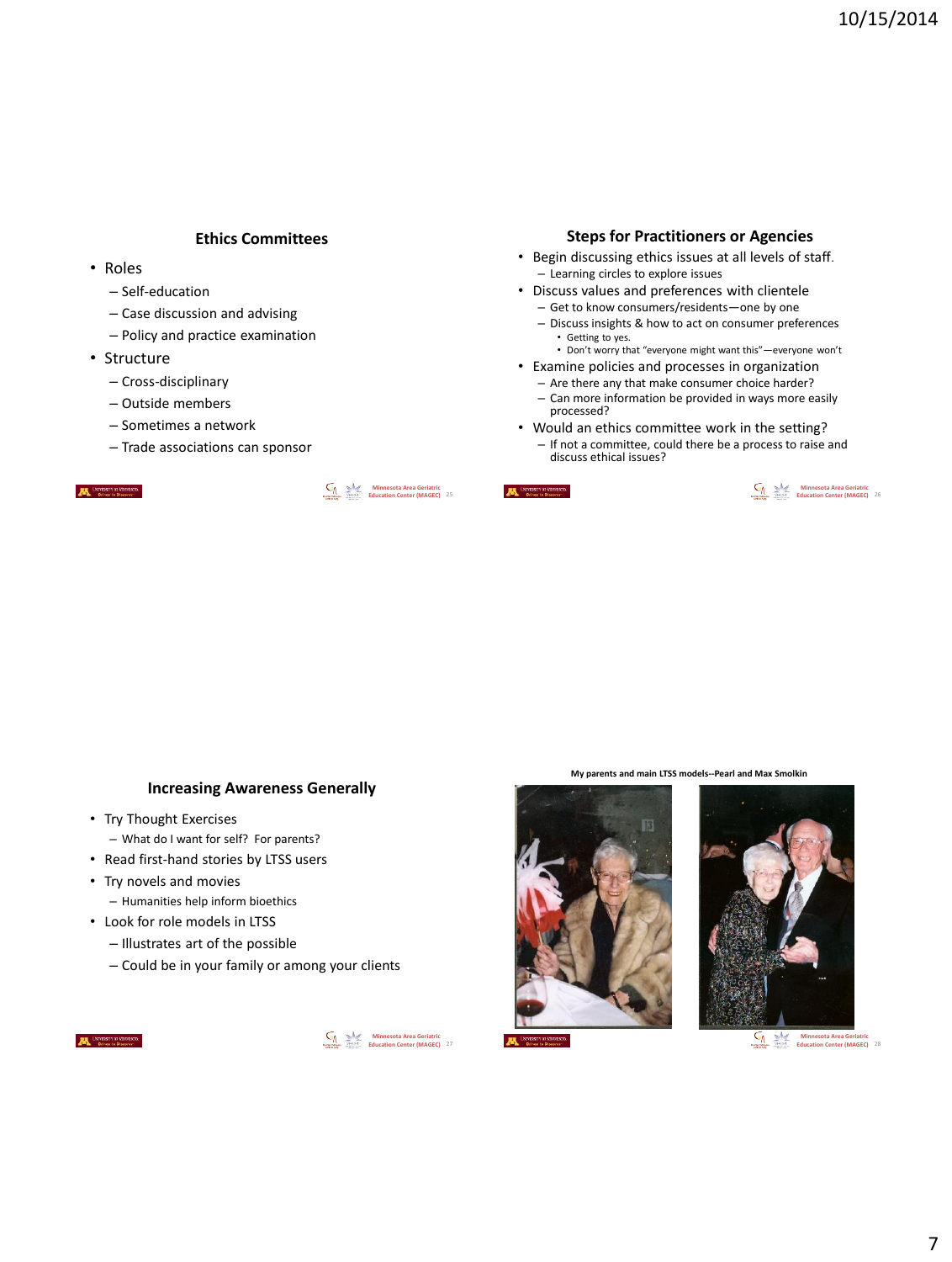# **Ethics Committees**

- Roles
	- Self-education
	- Case discussion and advising
	- Policy and practice examination
- Structure
	- Cross-disciplinary
	- Outside members
	- Sometimes a network
	- Trade associations can sponsor



**Minnesota Area Geriatric Education Center (MAGEC)** 25

#### **Steps for Practitioners or Agencies**

- Begin discussing ethics issues at all levels of staff. – Learning circles to explore issues
- Discuss values and preferences with clientele – Get to know consumers/residents—one by one
	- Discuss insights & how to act on consumer preferences • Getting to yes.
		- Don't worry that "everyone might want this"—everyone won't
- Examine policies and processes in organization – Are there any that make consumer choice harder?
	- Can more information be provided in ways more easily processed?
- Would an ethics committee work in the setting? – If not a committee, could there be a process to raise and discuss ethical issues?



**Minnesota Area Geriatric Education Center (MAGEC)** 26

#### **Increasing Awareness Generally**

- Try Thought Exercises – What do I want for self? For parents?
- Read first-hand stories by LTSS users
- Try novels and movies
	- Humanities help inform bioethics
- Look for role models in LTSS
	- Illustrates art of the possible
	- Could be in your family or among your clients









**Minnesota Area Geriatric Education Center (MAGEC)** 28